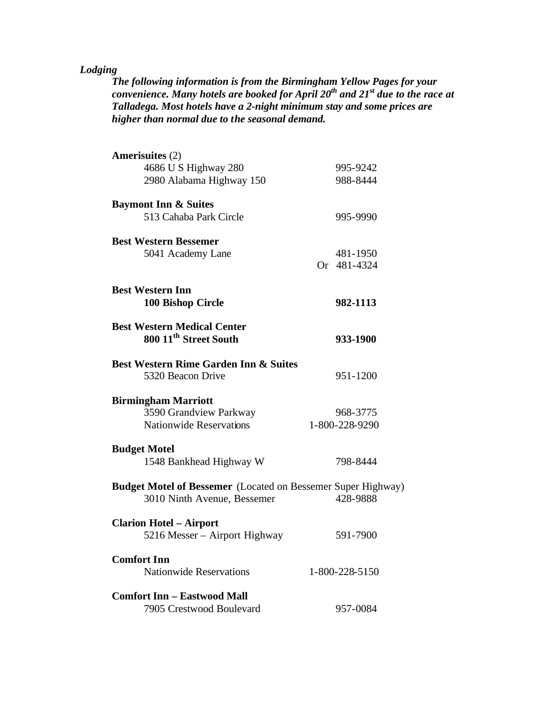## *Lodging*

*The following information is from the Birmingham Yellow Pages for your convenience. Many hotels are booked for April 20th and 21st due to the race at Talladega. Most hotels have a 2-night minimum stay and some prices are higher than normal due to the seasonal demand.*

| Amerisuites (2)                                                     |                |
|---------------------------------------------------------------------|----------------|
| 4686 U S Highway 280                                                | 995-9242       |
| 2980 Alabama Highway 150                                            | 988-8444       |
| <b>Baymont Inn &amp; Suites</b>                                     |                |
| 513 Cahaba Park Circle                                              | 995-9990       |
| <b>Best Western Bessemer</b>                                        |                |
| 5041 Academy Lane                                                   | 481-1950       |
|                                                                     | Or 481-4324    |
| <b>Best Western Inn</b>                                             |                |
| 100 Bishop Circle                                                   | 982-1113       |
| <b>Best Western Medical Center</b>                                  |                |
| 800 11 <sup>th</sup> Street South                                   | 933-1900       |
| <b>Best Western Rime Garden Inn &amp; Suites</b>                    |                |
| 5320 Beacon Drive                                                   | 951-1200       |
| <b>Birmingham Marriott</b>                                          |                |
| 3590 Grandview Parkway                                              | 968-3775       |
| <b>Nationwide Reservations</b>                                      | 1-800-228-9290 |
| <b>Budget Motel</b>                                                 |                |
| 1548 Bankhead Highway W                                             | 798-8444       |
| <b>Budget Motel of Bessemer</b> (Located on Bessemer Super Highway) |                |
| 3010 Ninth Avenue, Bessemer                                         | 428-9888       |
| <b>Clarion Hotel – Airport</b>                                      |                |
| 5216 Messer – Airport Highway                                       | 591-7900       |
| <b>Comfort Inn</b>                                                  |                |
| <b>Nationwide Reservations</b>                                      | 1-800-228-5150 |
| <b>Comfort Inn - Eastwood Mall</b>                                  |                |
| 7905 Crestwood Boulevard                                            | 957-0084       |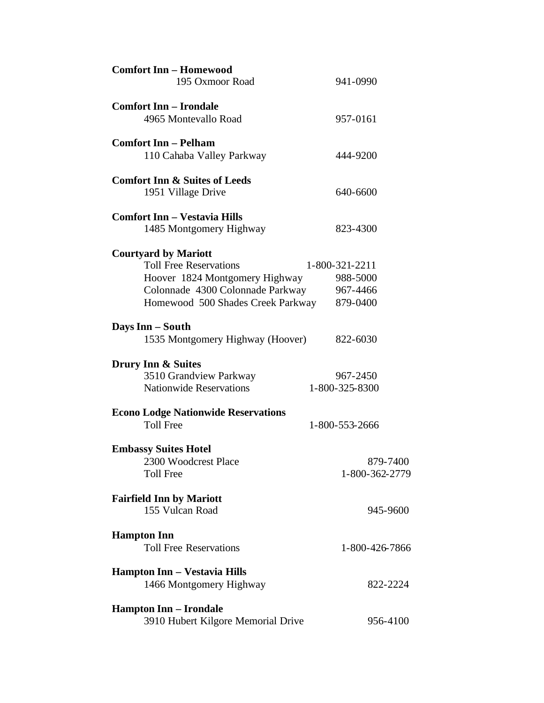| <b>Comfort Inn - Homewood</b><br>195 Oxmoor Road | 941-0990       |
|--------------------------------------------------|----------------|
| <b>Comfort Inn - Irondale</b>                    |                |
| 4965 Montevallo Road                             | 957-0161       |
| <b>Comfort Inn - Pelham</b>                      |                |
| 110 Cahaba Valley Parkway                        | 444-9200       |
| <b>Comfort Inn &amp; Suites of Leeds</b>         |                |
| 1951 Village Drive                               | 640-6600       |
| <b>Comfort Inn - Vestavia Hills</b>              |                |
| 1485 Montgomery Highway                          | 823-4300       |
| <b>Courtyard by Mariott</b>                      |                |
| <b>Toll Free Reservations</b>                    | 1-800-321-2211 |
| Hoover 1824 Montgomery Highway                   | 988-5000       |
| Colonnade 4300 Colonnade Parkway                 | 967-4466       |
| Homewood 500 Shades Creek Parkway                | 879-0400       |
| Days Inn – South                                 |                |
| 1535 Montgomery Highway (Hoover)                 | 822-6030       |
| Drury Inn & Suites                               |                |
| 3510 Grandview Parkway                           | 967-2450       |
| <b>Nationwide Reservations</b>                   | 1-800-325-8300 |
| <b>Econo Lodge Nationwide Reservations</b>       |                |
| <b>Toll Free</b>                                 | 1-800-553-2666 |
| <b>Embassy Suites Hotel</b>                      |                |
| 2300 Woodcrest Place                             | 879-7400       |
| <b>Toll Free</b>                                 | 1-800-362-2779 |
| <b>Fairfield Inn by Mariott</b>                  |                |
| 155 Vulcan Road                                  | 945-9600       |
| <b>Hampton Inn</b>                               |                |
| <b>Toll Free Reservations</b>                    | 1-800-426-7866 |
| Hampton Inn - Vestavia Hills                     |                |
| 1466 Montgomery Highway                          | 822-2224       |
| <b>Hampton Inn - Irondale</b>                    |                |
| 3910 Hubert Kilgore Memorial Drive               | 956-4100       |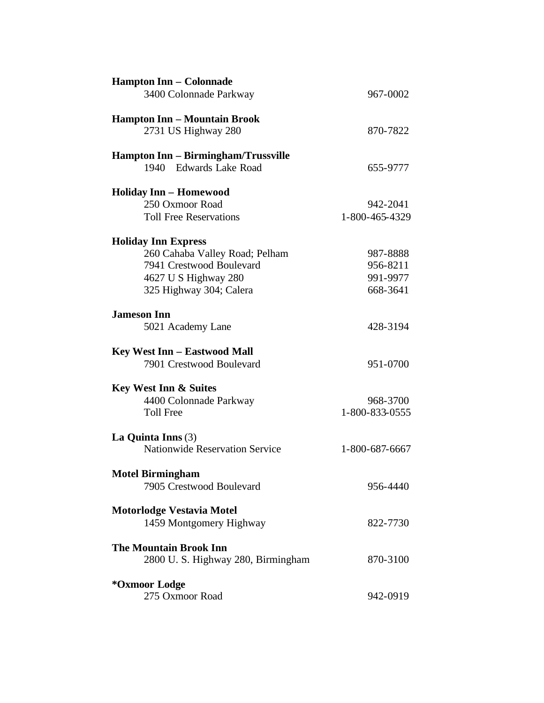| <b>Hampton Inn - Colonnade</b>        |                |  |
|---------------------------------------|----------------|--|
| 3400 Colonnade Parkway                | 967-0002       |  |
| <b>Hampton Inn - Mountain Brook</b>   |                |  |
| 2731 US Highway 280                   | 870-7822       |  |
| Hampton Inn - Birmingham/Trussville   |                |  |
| 1940 Edwards Lake Road                | 655-9777       |  |
| <b>Holiday Inn - Homewood</b>         |                |  |
| 250 Oxmoor Road                       | 942-2041       |  |
| <b>Toll Free Reservations</b>         | 1-800-465-4329 |  |
| <b>Holiday Inn Express</b>            |                |  |
| 260 Cahaba Valley Road; Pelham        | 987-8888       |  |
| 7941 Crestwood Boulevard              | 956-8211       |  |
| 4627 U S Highway 280                  | 991-9977       |  |
| 325 Highway 304; Calera               | 668-3641       |  |
| <b>Jameson Inn</b>                    |                |  |
| 5021 Academy Lane                     | 428-3194       |  |
| <b>Key West Inn - Eastwood Mall</b>   |                |  |
| 7901 Crestwood Boulevard              | 951-0700       |  |
| <b>Key West Inn &amp; Suites</b>      |                |  |
| 4400 Colonnade Parkway                | 968-3700       |  |
| <b>Toll Free</b>                      | 1-800-833-0555 |  |
| La Quinta Inns $(3)$                  |                |  |
| <b>Nationwide Reservation Service</b> | 1-800-687-6667 |  |
| <b>Motel Birmingham</b>               |                |  |
| 7905 Crestwood Boulevard              | 956-4440       |  |
| <b>Motorlodge Vestavia Motel</b>      |                |  |
| 1459 Montgomery Highway               | 822-7730       |  |
| <b>The Mountain Brook Inn</b>         |                |  |
| 2800 U.S. Highway 280, Birmingham     | 870-3100       |  |
| *Oxmoor Lodge                         |                |  |
| 275 Oxmoor Road                       | 942-0919       |  |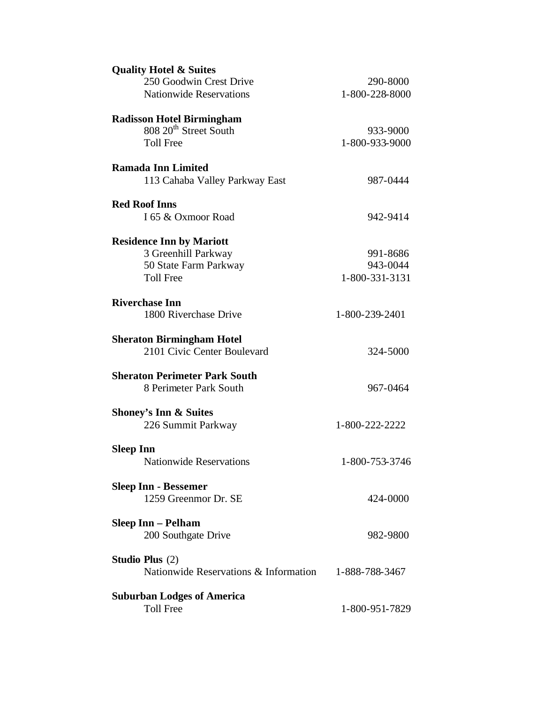| 250 Goodwin Crest Drive                               |                |  |
|-------------------------------------------------------|----------------|--|
|                                                       | 290-8000       |  |
| <b>Nationwide Reservations</b>                        | 1-800-228-8000 |  |
|                                                       |                |  |
| <b>Radisson Hotel Birmingham</b>                      |                |  |
| 808 20 <sup>th</sup> Street South                     | 933-9000       |  |
| <b>Toll Free</b>                                      | 1-800-933-9000 |  |
|                                                       |                |  |
| <b>Ramada Inn Limited</b>                             |                |  |
| 113 Cahaba Valley Parkway East                        | 987-0444       |  |
|                                                       |                |  |
| <b>Red Roof Inns</b>                                  |                |  |
| I 65 & Oxmoor Road                                    | 942-9414       |  |
|                                                       |                |  |
| <b>Residence Inn by Mariott</b>                       |                |  |
| 3 Greenhill Parkway                                   | 991-8686       |  |
|                                                       | 943-0044       |  |
| 50 State Farm Parkway                                 |                |  |
| <b>Toll Free</b>                                      | 1-800-331-3131 |  |
|                                                       |                |  |
| <b>Riverchase Inn</b>                                 |                |  |
| 1800 Riverchase Drive                                 | 1-800-239-2401 |  |
|                                                       |                |  |
| <b>Sheraton Birmingham Hotel</b>                      |                |  |
| 2101 Civic Center Boulevard                           | 324-5000       |  |
|                                                       |                |  |
| <b>Sheraton Perimeter Park South</b>                  |                |  |
| 8 Perimeter Park South                                | 967-0464       |  |
|                                                       |                |  |
| <b>Shoney's Inn &amp; Suites</b>                      |                |  |
| 226 Summit Parkway                                    | 1-800-222-2222 |  |
|                                                       |                |  |
| <b>Sleep Inn</b>                                      |                |  |
| <b>Nationwide Reservations</b>                        | 1-800-753-3746 |  |
|                                                       |                |  |
| <b>Sleep Inn - Bessemer</b>                           |                |  |
| 1259 Greenmor Dr. SE                                  | 424-0000       |  |
|                                                       |                |  |
|                                                       |                |  |
|                                                       |                |  |
| <b>Sleep Inn – Pelham</b>                             |                |  |
| 200 Southgate Drive                                   | 982-9800       |  |
|                                                       |                |  |
| <b>Studio Plus</b> (2)                                |                |  |
| Nationwide Reservations & Information                 | 1-888-788-3467 |  |
|                                                       |                |  |
| <b>Suburban Lodges of America</b><br><b>Toll Free</b> | 1-800-951-7829 |  |